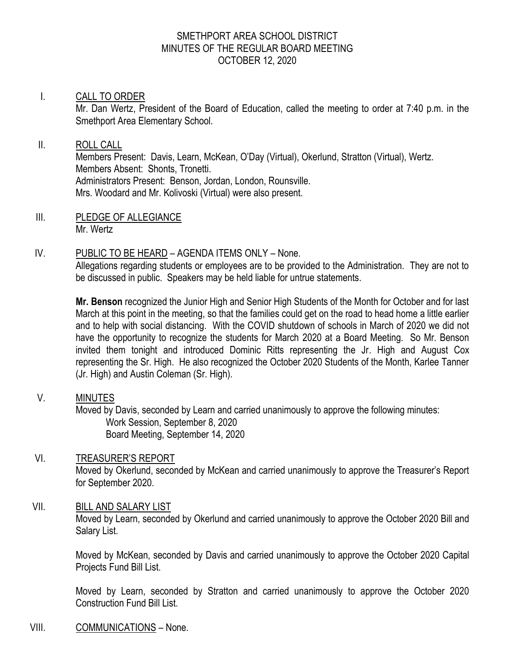#### SMETHPORT AREA SCHOOL DISTRICT MINUTES OF THE REGULAR BOARD MEETING OCTOBER 12, 2020

#### I. CALL TO ORDER

Mr. Dan Wertz, President of the Board of Education, called the meeting to order at 7:40 p.m. in the Smethport Area Elementary School.

# II. ROLL CALL

Members Present: Davis, Learn, McKean, O'Day (Virtual), Okerlund, Stratton (Virtual), Wertz. Members Absent: Shonts, Tronetti. Administrators Present: Benson, Jordan, London, Rounsville. Mrs. Woodard and Mr. Kolivoski (Virtual) were also present.

III. PLEDGE OF ALLEGIANCE Mr. Wertz

### IV. PUBLIC TO BE HEARD – AGENDA ITEMS ONLY – None.

Allegations regarding students or employees are to be provided to the Administration. They are not to be discussed in public. Speakers may be held liable for untrue statements.

**Mr. Benson** recognized the Junior High and Senior High Students of the Month for October and for last March at this point in the meeting, so that the families could get on the road to head home a little earlier and to help with social distancing. With the COVID shutdown of schools in March of 2020 we did not have the opportunity to recognize the students for March 2020 at a Board Meeting. So Mr. Benson invited them tonight and introduced Dominic Ritts representing the Jr. High and August Cox representing the Sr. High. He also recognized the October 2020 Students of the Month, Karlee Tanner (Jr. High) and Austin Coleman (Sr. High).

### V. MINUTES

Moved by Davis, seconded by Learn and carried unanimously to approve the following minutes: Work Session, September 8, 2020 Board Meeting, September 14, 2020

### VI. TREASURER'S REPORT

Moved by Okerlund, seconded by McKean and carried unanimously to approve the Treasurer's Report for September 2020.

### VII. BILL AND SALARY LIST

Moved by Learn, seconded by Okerlund and carried unanimously to approve the October 2020 Bill and Salary List.

Moved by McKean, seconded by Davis and carried unanimously to approve the October 2020 Capital Projects Fund Bill List.

Moved by Learn, seconded by Stratton and carried unanimously to approve the October 2020 Construction Fund Bill List.

### VIII. COMMUNICATIONS – None.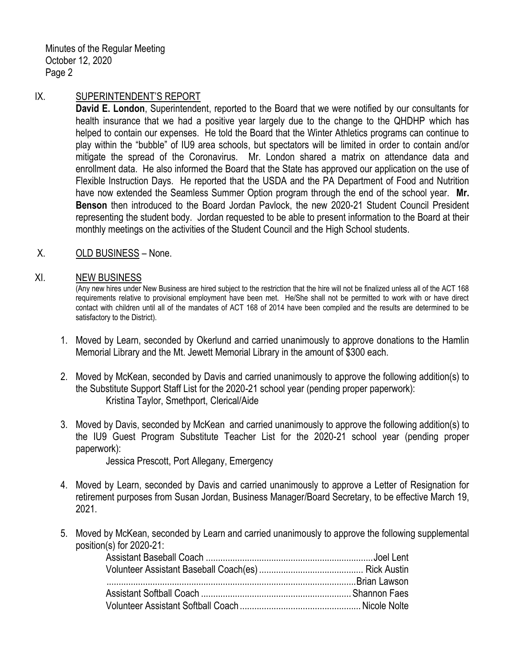Minutes of the Regular Meeting October 12, 2020 Page 2

#### IX. SUPERINTENDENT'S REPORT

**David E. London**, Superintendent, reported to the Board that we were notified by our consultants for health insurance that we had a positive year largely due to the change to the QHDHP which has helped to contain our expenses. He told the Board that the Winter Athletics programs can continue to play within the "bubble" of IU9 area schools, but spectators will be limited in order to contain and/or mitigate the spread of the Coronavirus. Mr. London shared a matrix on attendance data and enrollment data. He also informed the Board that the State has approved our application on the use of Flexible Instruction Days. He reported that the USDA and the PA Department of Food and Nutrition have now extended the Seamless Summer Option program through the end of the school year. **Mr. Benson** then introduced to the Board Jordan Pavlock, the new 2020-21 Student Council President representing the student body. Jordan requested to be able to present information to the Board at their monthly meetings on the activities of the Student Council and the High School students.

### X. OLD BUSINESS – None.

#### XI. NEW BUSINESS

(Any new hires under New Business are hired subject to the restriction that the hire will not be finalized unless all of the ACT 168 requirements relative to provisional employment have been met. He/She shall not be permitted to work with or have direct contact with children until all of the mandates of ACT 168 of 2014 have been compiled and the results are determined to be satisfactory to the District).

- 1. Moved by Learn, seconded by Okerlund and carried unanimously to approve donations to the Hamlin Memorial Library and the Mt. Jewett Memorial Library in the amount of \$300 each.
- 2. Moved by McKean, seconded by Davis and carried unanimously to approve the following addition(s) to the Substitute Support Staff List for the 2020-21 school year (pending proper paperwork): Kristina Taylor, Smethport, Clerical/Aide
- 3. Moved by Davis, seconded by McKean and carried unanimously to approve the following addition(s) to the IU9 Guest Program Substitute Teacher List for the 2020-21 school year (pending proper paperwork):

Jessica Prescott, Port Allegany, Emergency

- 4. Moved by Learn, seconded by Davis and carried unanimously to approve a Letter of Resignation for retirement purposes from Susan Jordan, Business Manager/Board Secretary, to be effective March 19, 2021.
- 5. Moved by McKean, seconded by Learn and carried unanimously to approve the following supplemental position(s) for 2020-21: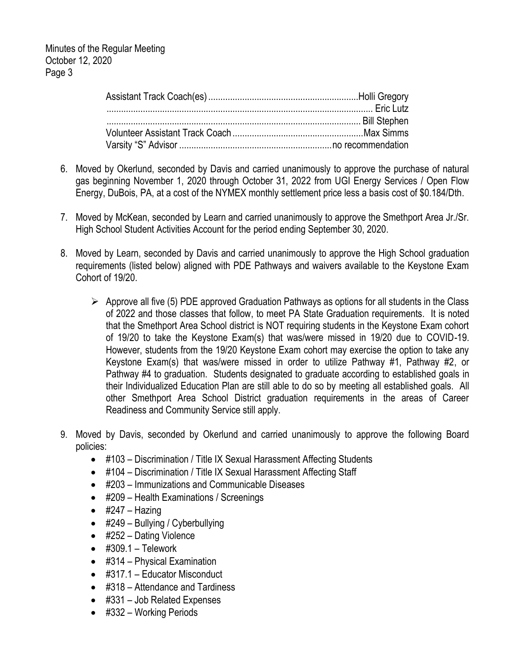- 6. Moved by Okerlund, seconded by Davis and carried unanimously to approve the purchase of natural gas beginning November 1, 2020 through October 31, 2022 from UGI Energy Services / Open Flow Energy, DuBois, PA, at a cost of the NYMEX monthly settlement price less a basis cost of \$0.184/Dth.
- 7. Moved by McKean, seconded by Learn and carried unanimously to approve the Smethport Area Jr./Sr. High School Student Activities Account for the period ending September 30, 2020.
- 8. Moved by Learn, seconded by Davis and carried unanimously to approve the High School graduation requirements (listed below) aligned with PDE Pathways and waivers available to the Keystone Exam Cohort of 19/20.
	- $\triangleright$  Approve all five (5) PDE approved Graduation Pathways as options for all students in the Class of 2022 and those classes that follow, to meet PA State Graduation requirements. It is noted that the Smethport Area School district is NOT requiring students in the Keystone Exam cohort of 19/20 to take the Keystone Exam(s) that was/were missed in 19/20 due to COVID-19. However, students from the 19/20 Keystone Exam cohort may exercise the option to take any Keystone Exam(s) that was/were missed in order to utilize Pathway #1, Pathway #2, or Pathway #4 to graduation. Students designated to graduate according to established goals in their Individualized Education Plan are still able to do so by meeting all established goals. All other Smethport Area School District graduation requirements in the areas of Career Readiness and Community Service still apply.
- 9. Moved by Davis, seconded by Okerlund and carried unanimously to approve the following Board policies:
	- #103 Discrimination / Title IX Sexual Harassment Affecting Students
	- #104 Discrimination / Title IX Sexual Harassment Affecting Staff
	- #203 Immunizations and Communicable Diseases
	- #209 Health Examinations / Screenings
	- $\bullet$  #247 Hazing
	- #249 Bullying / Cyberbullying
	- #252 Dating Violence
	- $\bullet$  #309.1 Telework
	- #314 Physical Examination
	- #317.1 Educator Misconduct
	- #318 Attendance and Tardiness
	- #331 Job Related Expenses
	- #332 Working Periods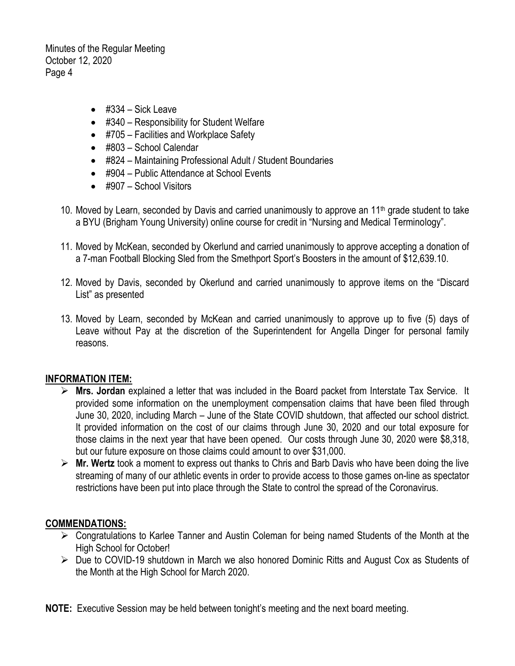Minutes of the Regular Meeting October 12, 2020 Page 4

- $\bullet$  #334 Sick Leave
- #340 Responsibility for Student Welfare
- #705 Facilities and Workplace Safety
- #803 School Calendar
- #824 Maintaining Professional Adult / Student Boundaries
- #904 Public Attendance at School Events
- #907 School Visitors
- 10. Moved by Learn, seconded by Davis and carried unanimously to approve an 11th grade student to take a BYU (Brigham Young University) online course for credit in "Nursing and Medical Terminology".
- 11. Moved by McKean, seconded by Okerlund and carried unanimously to approve accepting a donation of a 7-man Football Blocking Sled from the Smethport Sport's Boosters in the amount of \$12,639.10.
- 12. Moved by Davis, seconded by Okerlund and carried unanimously to approve items on the "Discard List" as presented
- 13. Moved by Learn, seconded by McKean and carried unanimously to approve up to five (5) days of Leave without Pay at the discretion of the Superintendent for Angella Dinger for personal family reasons.

#### **INFORMATION ITEM:**

- **Mrs. Jordan** explained a letter that was included in the Board packet from Interstate Tax Service. It provided some information on the unemployment compensation claims that have been filed through June 30, 2020, including March – June of the State COVID shutdown, that affected our school district. It provided information on the cost of our claims through June 30, 2020 and our total exposure for those claims in the next year that have been opened. Our costs through June 30, 2020 were \$8,318, but our future exposure on those claims could amount to over \$31,000.
- **Mr. Wertz** took a moment to express out thanks to Chris and Barb Davis who have been doing the live streaming of many of our athletic events in order to provide access to those games on-line as spectator restrictions have been put into place through the State to control the spread of the Coronavirus.

#### **COMMENDATIONS:**

- $\triangleright$  Congratulations to Karlee Tanner and Austin Coleman for being named Students of the Month at the High School for October!
- $\triangleright$  Due to COVID-19 shutdown in March we also honored Dominic Ritts and August Cox as Students of the Month at the High School for March 2020.

**NOTE:** Executive Session may be held between tonight's meeting and the next board meeting.